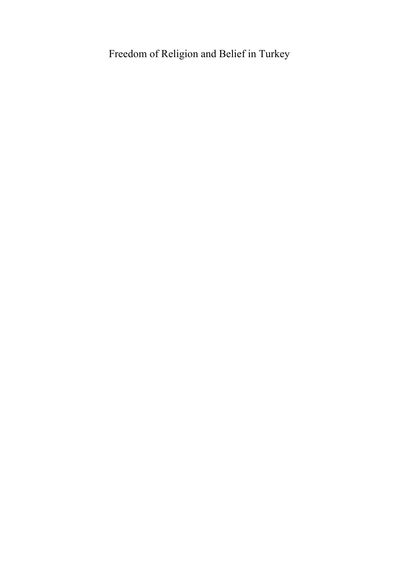# Freedom of Religion and Belief in Turkey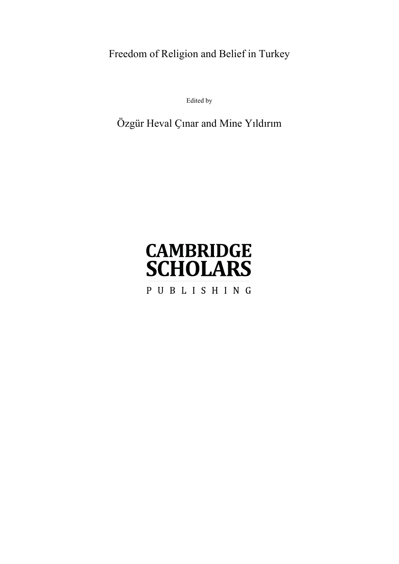Freedom of Religion and Belief in Turkey

Edited by

Özgür Heval Ҫınar and Mine Yıldırım

# **CAMBRIDGE SCHOLARS** PUBLISHING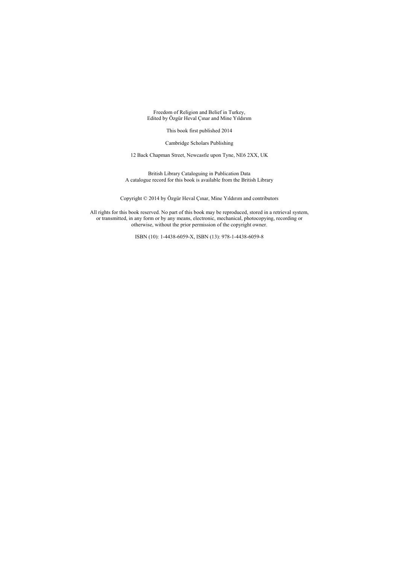Freedom of Religion and Belief in Turkey, Edited by Özgür Heval Ҫınar and Mine Yıldırım

This book first published 2014

Cambridge Scholars Publishing

12 Back Chapman Street, Newcastle upon Tyne, NE6 2XX, UK

British Library Cataloguing in Publication Data A catalogue record for this book is available from the British Library

Copyright © 2014 by Özgür Heval Ҫınar, Mine Yıldırım and contributors

All rights for this book reserved. No part of this book may be reproduced, stored in a retrieval system, or transmitted, in any form or by any means, electronic, mechanical, photocopying, recording or otherwise, without the prior permission of the copyright owner.

ISBN (10): 1-4438-6059-X, ISBN (13): 978-1-4438-6059-8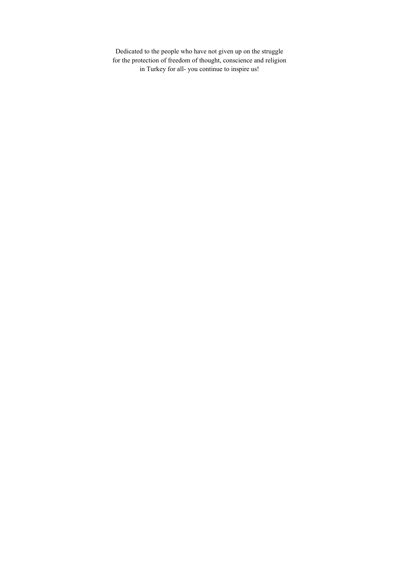Dedicated to the people who have not given up on the struggle for the protection of freedom of thought, conscience and religion in Turkey for all- you continue to inspire us!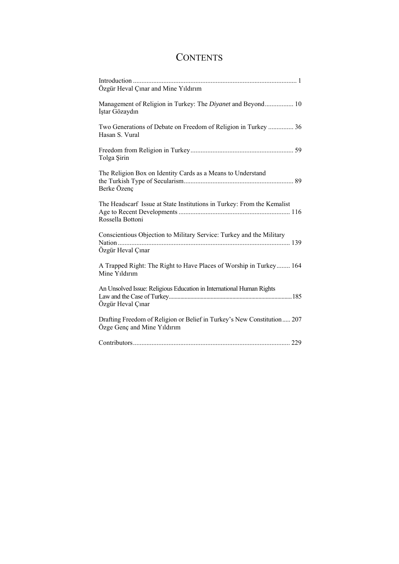# **CONTENTS**

| Özgür Heval Çınar and Mine Yıldırım                                                                    |
|--------------------------------------------------------------------------------------------------------|
| Management of Religion in Turkey: The Divanet and Beyond 10<br>İştar Gözaydın                          |
| Two Generations of Debate on Freedom of Religion in Turkey  36<br>Hasan S. Vural                       |
| Tolga Şirin                                                                                            |
| The Religion Box on Identity Cards as a Means to Understand<br>Berke Özenç                             |
| The Headscarf Issue at State Institutions in Turkey: From the Kemalist<br>Rossella Bottoni             |
| Conscientious Objection to Military Service: Turkey and the Military<br>Özgür Heval Çınar              |
| A Trapped Right: The Right to Have Places of Worship in Turkey 164<br>Mine Yıldırım                    |
| An Unsolved Issue: Religious Education in International Human Rights<br>Özgür Heval Çınar              |
| Drafting Freedom of Religion or Belief in Turkey's New Constitution 207<br>Özge Genç and Mine Yıldırım |
|                                                                                                        |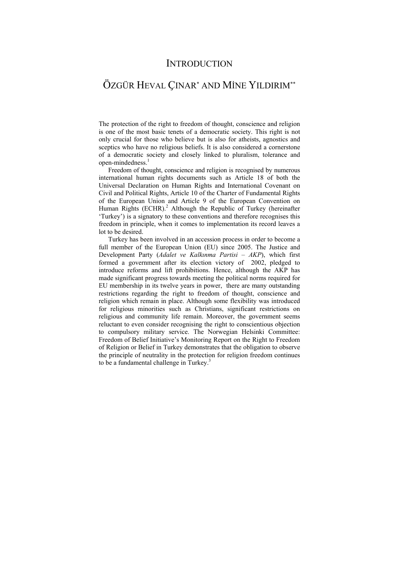### **INTRODUCTION**

## ÖZGÜR HEVAL ҪINAR<sup>∗</sup> AND MİNE YILDIRIM∗∗

The protection of the right to freedom of thought, conscience and religion is one of the most basic tenets of a democratic society. This right is not only crucial for those who believe but is also for atheists, agnostics and sceptics who have no religious beliefs. It is also considered a cornerstone of a democratic society and closely linked to pluralism, tolerance and open-mindedness.<sup>1</sup>

Freedom of thought, conscience and religion is recognised by numerous international human rights documents such as Article 18 of both the Universal Declaration on Human Rights and International Covenant on Civil and Political Rights, Article 10 of the Charter of Fundamental Rights of the European Union and Article 9 of the European Convention on Human Rights  $(ECHR).<sup>2</sup>$  Although the Republic of Turkey (hereinafter 'Turkey') is a signatory to these conventions and therefore recognises this freedom in principle, when it comes to implementation its record leaves a lot to be desired.

Turkey has been involved in an accession process in order to become a full member of the European Union (EU) since 2005. The Justice and Development Party (*Adalet ve Kalkınma Partisi – AKP*), which first formed a government after its election victory of 2002, pledged to introduce reforms and lift prohibitions. Hence, although the AKP has made significant progress towards meeting the political norms required for EU membership in its twelve years in power, there are many outstanding restrictions regarding the right to freedom of thought, conscience and religion which remain in place. Although some flexibility was introduced for religious minorities such as Christians, significant restrictions on religious and community life remain. Moreover, the government seems reluctant to even consider recognising the right to conscientious objection to compulsory military service. The Norwegian Helsinki Committee: Freedom of Belief Initiative's Monitoring Report on the Right to Freedom of Religion or Belief in Turkey demonstrates that the obligation to observe the principle of neutrality in the protection for religion freedom continues to be a fundamental challenge in Turkey.<sup>3</sup>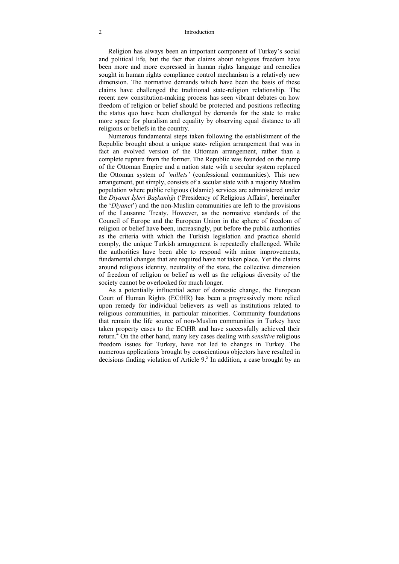#### 2 Introduction

Religion has always been an important component of Turkey's social and political life, but the fact that claims about religious freedom have been more and more expressed in human rights language and remedies sought in human rights compliance control mechanism is a relatively new dimension. The normative demands which have been the basis of these claims have challenged the traditional state-religion relationship. The recent new constitution-making process has seen vibrant debates on how freedom of religion or belief should be protected and positions reflecting the status quo have been challenged by demands for the state to make more space for pluralism and equality by observing equal distance to all religions or beliefs in the country.

Numerous fundamental steps taken following the establishment of the Republic brought about a unique state- religion arrangement that was in fact an evolved version of the Ottoman arrangement, rather than a complete rupture from the former. The Republic was founded on the rump of the Ottoman Empire and a nation state with a secular system replaced the Ottoman system of *'millets'* (confessional communities)*.* This new arrangement, put simply, consists of a secular state with a majority Muslim population where public religious (Islamic) services are administered under the *Diyanet İşleri Başkanlığı* ('Presidency of Religious Affairs', hereinafter the '*Diyanet*') and the non-Muslim communities are left to the provisions of the Lausanne Treaty. However, as the normative standards of the Council of Europe and the European Union in the sphere of freedom of religion or belief have been, increasingly, put before the public authorities as the criteria with which the Turkish legislation and practice should comply, the unique Turkish arrangement is repeatedly challenged. While the authorities have been able to respond with minor improvements, fundamental changes that are required have not taken place. Yet the claims around religious identity, neutrality of the state, the collective dimension of freedom of religion or belief as well as the religious diversity of the society cannot be overlooked for much longer.

As a potentially influential actor of domestic change, the European Court of Human Rights (ECtHR) has been a progressively more relied upon remedy for individual believers as well as institutions related to religious communities, in particular minorities. Community foundations that remain the life source of non-Muslim communities in Turkey have taken property cases to the ECtHR and have successfully achieved their return.<sup>4</sup> On the other hand, many key cases dealing with *sensitive* religious freedom issues for Turkey, have not led to changes in Turkey. The numerous applications brought by conscientious objectors have resulted in decisions finding violation of Article  $9<sup>5</sup>$  In addition, a case brought by an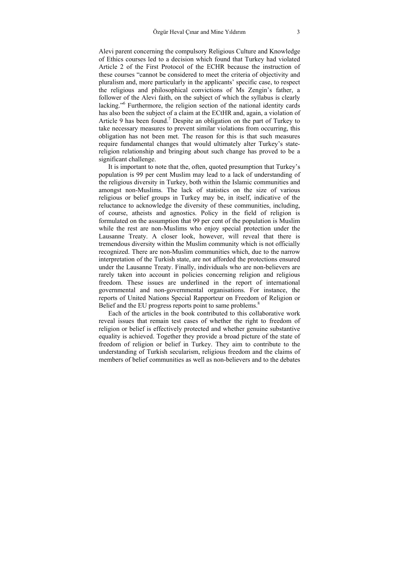Alevi parent concerning the compulsory Religious Culture and Knowledge of Ethics courses led to a decision which found that Turkey had violated Article 2 of the First Protocol of the ECHR because the instruction of these courses "cannot be considered to meet the criteria of objectivity and pluralism and, more particularly in the applicants' specific case, to respect the religious and philosophical convictions of Ms Zengin's father, a follower of the Alevi faith, on the subject of which the syllabus is clearly lacking."6 Furthermore, the religion section of the national identity cards has also been the subject of a claim at the ECtHR and, again, a violation of Article 9 has been found.<sup>7</sup> Despite an obligation on the part of Turkey to take necessary measures to prevent similar violations from occurring, this obligation has not been met. The reason for this is that such measures require fundamental changes that would ultimately alter Turkey's statereligion relationship and bringing about such change has proved to be a significant challenge.

It is important to note that the, often, quoted presumption that Turkey's population is 99 per cent Muslim may lead to a lack of understanding of the religious diversity in Turkey, both within the Islamic communities and amongst non-Muslims. The lack of statistics on the size of various religious or belief groups in Turkey may be, in itself, indicative of the reluctance to acknowledge the diversity of these communities, including, of course, atheists and agnostics. Policy in the field of religion is formulated on the assumption that 99 per cent of the population is Muslim while the rest are non-Muslims who enjoy special protection under the Lausanne Treaty. A closer look, however, will reveal that there is tremendous diversity within the Muslim community which is not officially recognized. There are non-Muslim communities which, due to the narrow interpretation of the Turkish state, are not afforded the protections ensured under the Lausanne Treaty. Finally, individuals who are non-believers are rarely taken into account in policies concerning religion and religious freedom. These issues are underlined in the report of international governmental and non-governmental organisations. For instance, the reports of United Nations Special Rapporteur on Freedom of Religion or Belief and the EU progress reports point to same problems.<sup>8</sup>

Each of the articles in the book contributed to this collaborative work reveal issues that remain test cases of whether the right to freedom of religion or belief is effectively protected and whether genuine substantive equality is achieved. Together they provide a broad picture of the state of freedom of religion or belief in Turkey. They aim to contribute to the understanding of Turkish secularism, religious freedom and the claims of members of belief communities as well as non-believers and to the debates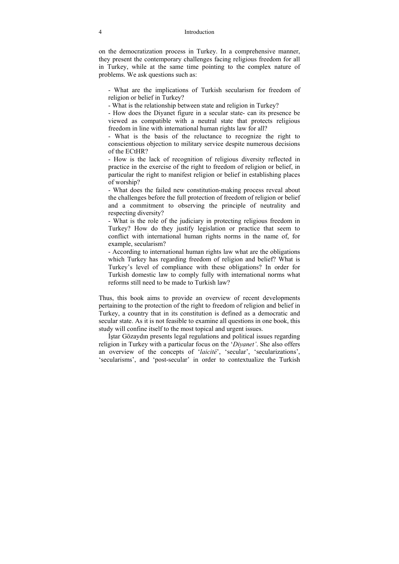on the democratization process in Turkey. In a comprehensive manner, they present the contemporary challenges facing religious freedom for all in Turkey, while at the same time pointing to the complex nature of problems. We ask questions such as:

- What are the implications of Turkish secularism for freedom of religion or belief in Turkey?

- What is the relationship between state and religion in Turkey?

- How does the Diyanet figure in a secular state- can its presence be viewed as compatible with a neutral state that protects religious freedom in line with international human rights law for all?

- What is the basis of the reluctance to recognize the right to conscientious objection to military service despite numerous decisions of the ECtHR?

- How is the lack of recognition of religious diversity reflected in practice in the exercise of the right to freedom of religion or belief, in particular the right to manifest religion or belief in establishing places of worship?

- What does the failed new constitution-making process reveal about the challenges before the full protection of freedom of religion or belief and a commitment to observing the principle of neutrality and respecting diversity?

- What is the role of the judiciary in protecting religious freedom in Turkey? How do they justify legislation or practice that seem to conflict with international human rights norms in the name of, for example, secularism?

- According to international human rights law what are the obligations which Turkey has regarding freedom of religion and belief? What is Turkey's level of compliance with these obligations? In order for Turkish domestic law to comply fully with international norms what reforms still need to be made to Turkish law?

Thus, this book aims to provide an overview of recent developments pertaining to the protection of the right to freedom of religion and belief in Turkey, a country that in its constitution is defined as a democratic and secular state. As it is not feasible to examine all questions in one book, this study will confine itself to the most topical and urgent issues.

İştar Gözaydın presents legal regulations and political issues regarding religion in Turkey with a particular focus on the '*Diyanet'*. She also offers an overview of the concepts of '*laicité*', 'secular', 'secularizations', 'secularisms', and 'post-secular' in order to contextualize the Turkish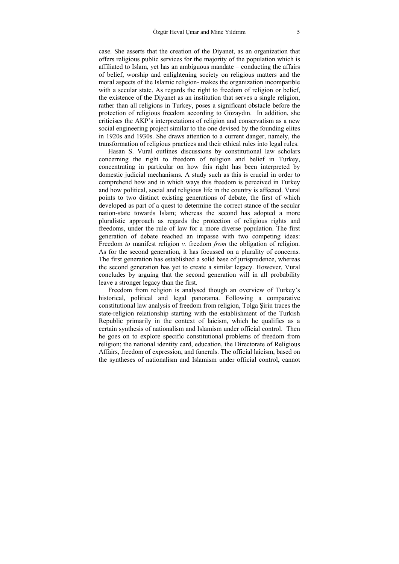case. She asserts that the creation of the Diyanet, as an organization that offers religious public services for the majority of the population which is affiliated to Islam, yet has an ambiguous mandate – conducting the affairs of belief, worship and enlightening society on religious matters and the moral aspects of the Islamic religion- makes the organization incompatible with a secular state. As regards the right to freedom of religion or belief, the existence of the Diyanet as an institution that serves a single religion, rather than all religions in Turkey, poses a significant obstacle before the protection of religious freedom according to Gözaydın. In addition, she criticises the AKP's interpretations of religion and conservatism as a new social engineering project similar to the one devised by the founding elites in 1920s and 1930s. She draws attention to a current danger, namely, the transformation of religious practices and their ethical rules into legal rules.

Hasan S. Vural outlines discussions by constitutional law scholars concerning the right to freedom of religion and belief in Turkey, concentrating in particular on how this right has been interpreted by domestic judicial mechanisms. A study such as this is crucial in order to comprehend how and in which ways this freedom is perceived in Turkey and how political, social and religious life in the country is affected. Vural points to two distinct existing generations of debate, the first of which developed as part of a quest to determine the correct stance of the secular nation-state towards Islam; whereas the second has adopted a more pluralistic approach as regards the protection of religious rights and freedoms, under the rule of law for a more diverse population. The first generation of debate reached an impasse with two competing ideas: Freedom *to* manifest religion *v.* freedom *from* the obligation of religion. As for the second generation, it has focussed on a plurality of concerns. The first generation has established a solid base of jurisprudence, whereas the second generation has yet to create a similar legacy. However, Vural concludes by arguing that the second generation will in all probability leave a stronger legacy than the first.

Freedom from religion is analysed though an overview of Turkey's historical, political and legal panorama. Following a comparative constitutional law analysis of freedom from religion, Tolga Şirin traces the state-religion relationship starting with the establishment of the Turkish Republic primarily in the context of laicism, which he qualifies as a certain synthesis of nationalism and Islamism under official control. Then he goes on to explore specific constitutional problems of freedom from religion; the national identity card, education, the Directorate of Religious Affairs, freedom of expression, and funerals. The official laicism, based on the syntheses of nationalism and Islamism under official control, cannot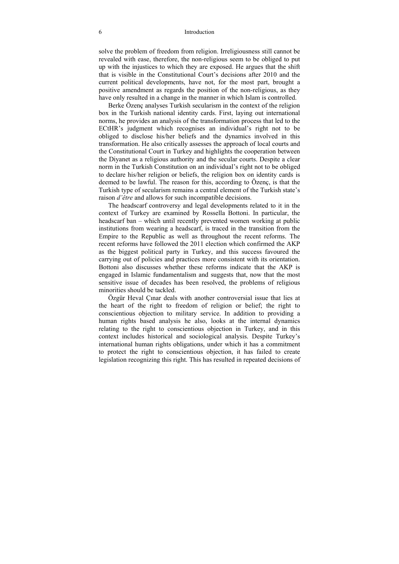#### 6 Introduction

solve the problem of freedom from religion. Irreligiousness still cannot be revealed with ease, therefore, the non-religious seem to be obliged to put up with the injustices to which they are exposed. He argues that the shift that is visible in the Constitutional Court's decisions after 2010 and the current political developments, have not, for the most part, brought a positive amendment as regards the position of the non-religious, as they have only resulted in a change in the manner in which Islam is controlled.

Berke Özenç analyses Turkish secularism in the context of the religion box in the Turkish national identity cards. First, laying out international norms, he provides an analysis of the transformation process that led to the ECtHR's judgment which recognises an individual's right not to be obliged to disclose his/her beliefs and the dynamics involved in this transformation. He also critically assesses the approach of local courts and the Constitutional Court in Turkey and highlights the cooperation between the Diyanet as a religious authority and the secular courts. Despite a clear norm in the Turkish Constitution on an individual's right not to be obliged to declare his/her religion or beliefs, the religion box on identity cards is deemed to be lawful. The reason for this, according to Özenç, is that the Turkish type of secularism remains a central element of the Turkish state's raison *d'être* and allows for such incompatible decisions.

The headscarf controversy and legal developments related to it in the context of Turkey are examined by Rossella Bottoni. In particular, the headscarf ban – which until recently prevented women working at public institutions from wearing a headscarf, is traced in the transition from the Empire to the Republic as well as throughout the recent reforms. The recent reforms have followed the 2011 election which confirmed the AKP as the biggest political party in Turkey, and this success favoured the carrying out of policies and practices more consistent with its orientation. Bottoni also discusses whether these reforms indicate that the AKP is engaged in Islamic fundamentalism and suggests that, now that the most sensitive issue of decades has been resolved, the problems of religious minorities should be tackled.

Özgür Heval Çınar deals with another controversial issue that lies at the heart of the right to freedom of religion or belief; the right to conscientious objection to military service. In addition to providing a human rights based analysis he also, looks at the internal dynamics relating to the right to conscientious objection in Turkey, and in this context includes historical and sociological analysis. Despite Turkey's international human rights obligations, under which it has a commitment to protect the right to conscientious objection, it has failed to create legislation recognizing this right. This has resulted in repeated decisions of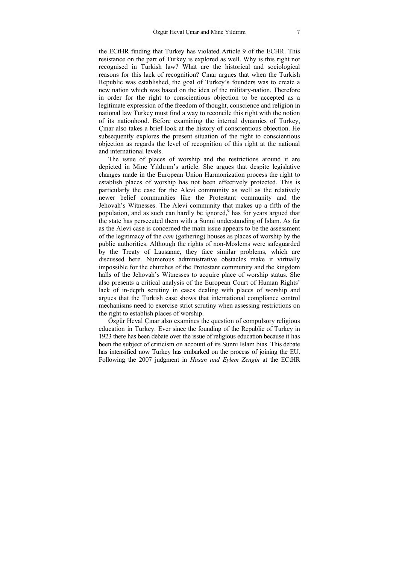the ECtHR finding that Turkey has violated Article 9 of the ECHR. This resistance on the part of Turkey is explored as well. Why is this right not recognised in Turkish law? What are the historical and sociological reasons for this lack of recognition? Çınar argues that when the Turkish Republic was established, the goal of Turkey's founders was to create a new nation which was based on the idea of the military-nation. Therefore in order for the right to conscientious objection to be accepted as a legitimate expression of the freedom of thought, conscience and religion in national law Turkey must find a way to reconcile this right with the notion of its nationhood. Before examining the internal dynamics of Turkey, Çınar also takes a brief look at the history of conscientious objection. He subsequently explores the present situation of the right to conscientious objection as regards the level of recognition of this right at the national and international levels.

The issue of places of worship and the restrictions around it are depicted in Mine Yıldırım's article. She argues that despite legislative changes made in the European Union Harmonization process the right to establish places of worship has not been effectively protected. This is particularly the case for the Alevi community as well as the relatively newer belief communities like the Protestant community and the Jehovah's Witnesses. The Alevi community that makes up a fifth of the population, and as such can hardly be ignored,<sup>9</sup> has for years argued that the state has persecuted them with a Sunni understanding of Islam. As far as the Alevi case is concerned the main issue appears to be the assessment of the legitimacy of the *cem* (gathering) houses as places of worship by the public authorities. Although the rights of non-Moslems were safeguarded by the Treaty of Lausanne, they face similar problems, which are discussed here. Numerous administrative obstacles make it virtually impossible for the churches of the Protestant community and the kingdom halls of the Jehovah's Witnesses to acquire place of worship status. She also presents a critical analysis of the European Court of Human Rights' lack of in-depth scrutiny in cases dealing with places of worship and argues that the Turkish case shows that international compliance control mechanisms need to exercise strict scrutiny when assessing restrictions on the right to establish places of worship.

Özgür Heval Çınar also examines the question of compulsory religious education in Turkey. Ever since the founding of the Republic of Turkey in 1923 there has been debate over the issue of religious education because it has been the subject of criticism on account of its Sunni Islam bias. This debate has intensified now Turkey has embarked on the process of joining the EU. Following the 2007 judgment in *Hasan and Eylem Zengin* at the ECtHR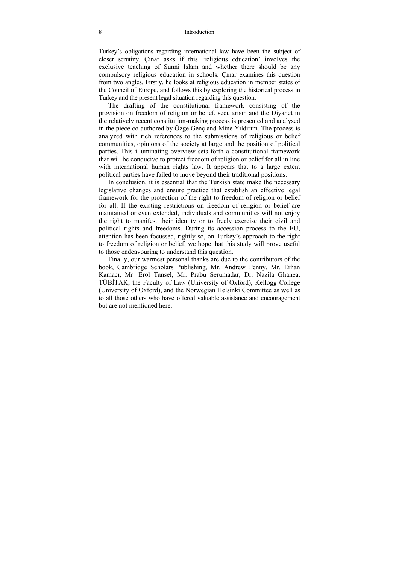#### 8 Introduction

Turkey's obligations regarding international law have been the subject of closer scrutiny. Çınar asks if this 'religious education' involves the exclusive teaching of Sunni Islam and whether there should be any compulsory religious education in schools. Çınar examines this question from two angles. Firstly, he looks at religious education in member states of the Council of Europe, and follows this by exploring the historical process in Turkey and the present legal situation regarding this question.

The drafting of the constitutional framework consisting of the provision on freedom of religion or belief, secularism and the Diyanet in the relatively recent constitution-making process is presented and analysed in the piece co-authored by Özge Genç and Mine Yıldırım. The process is analyzed with rich references to the submissions of religious or belief communities, opinions of the society at large and the position of political parties. This illuminating overview sets forth a constitutional framework that will be conducive to protect freedom of religion or belief for all in line with international human rights law. It appears that to a large extent political parties have failed to move beyond their traditional positions.

In conclusion, it is essential that the Turkish state make the necessary legislative changes and ensure practice that establish an effective legal framework for the protection of the right to freedom of religion or belief for all. If the existing restrictions on freedom of religion or belief are maintained or even extended, individuals and communities will not enjoy the right to manifest their identity or to freely exercise their civil and political rights and freedoms. During its accession process to the EU, attention has been focussed, rightly so, on Turkey's approach to the right to freedom of religion or belief; we hope that this study will prove useful to those endeavouring to understand this question.

Finally, our warmest personal thanks are due to the contributors of the book, Cambridge Scholars Publishing, Mr. Andrew Penny, Mr. Erhan Kamacı, Mr. Erol Tansel, Mr. Prabu Serumadar, Dr. Nazila Ghanea, TÜBİTAK, the Faculty of Law (University of Oxford), Kellogg College (University of Oxford), and the Norwegian Helsinki Committee as well as to all those others who have offered valuable assistance and encouragement but are not mentioned here.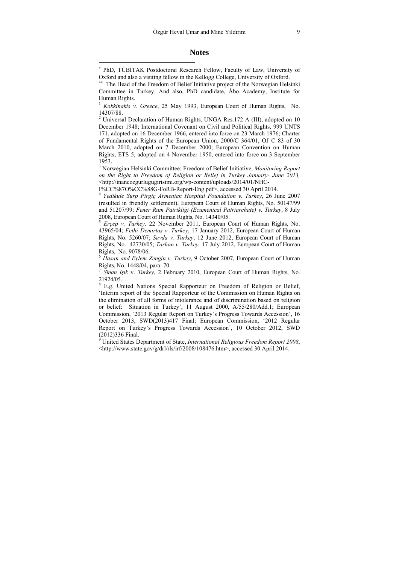#### **Notes**

 $\overline{a}$ 

∗∗ The Head of the Freedom of Belief Initiative project of the Norwegian Helsinki Committee in Turkey. And also, PhD candidate, Åbo Academy, Institute for Human Rights.

<sup>1</sup> *Kokkinakis v. Greece*, 25 May 1993, European Court of Human Rights, No. 14307/88.

<sup>2</sup> Universal Declaration of Human Rights, UNGA Res.172 A (III), adopted on 10 December 1948; International Covenant on Civil and Political Rights, 999 UNTS 171, adopted on 16 December 1966, entered into force on 23 March 1976; Charter of Fundamental Rights of the European Union, 2000/C 364/01, OJ C 83 of 30 March 2010, adopted on 7 December 2000; European Convention on Human Rights, ETS 5, adopted on 4 November 1950, entered into force on 3 September 1953.

3 Norwegian Helsinki Committee: Freedom of Belief Initiative, *Monitoring Report on the Right to Freedom of Religion or Belief in Turkey January- June 2013,* <http://inancozgurlugugirisimi.org/wp-content/uploads/2014/01/NHC-

I%CC%87O%CC%88G-FoRB-Report-Eng.pdf>, accessed 30 April 2014.

<sup>4</sup> *Yedikule Surp Pirgiç Armenian Hospital Foundation v. Turkey*, 26 June 2007 (resulted in friendly settlement), European Court of Human Rights, No. 50147/99 and 51207/99; *Fener Rum Patrikliği (Ecumenical Patriarchate) v. Turkey*, 8 July 2008, European Court of Human Rights, No. 14340/05.

<sup>5</sup> *Erçep v. Turkey,* 22 November 2011, European Court of Human Rights, No. 43965/04; *Fethi Demirtaş v. Turkey*, 17 January 2012, European Court of Human Rights, No. 5260/07; *Savda v. Turkey*, 12 June 2012, European Court of Human Rights, No. 42730/05; *Tarhan v. Turkey,* 17 July 2012, European Court of Human Rights, No. 9078/06.

<sup>6</sup> *Hasan and Eylem Zengin v. Turkey*, 9 October 2007, European Court of Human Rights, No. 1448/04, para. 70.

<sup>7</sup> *Sinan Işık* v. *Turkey*, 2 February 2010, European Court of Human Rights, No. 21924/05.

<sup>8</sup> E.g. United Nations Special Rapporteur on Freedom of Religion or Belief, 'Interim report of the Special Rapporteur of the Commission on Human Rights on the elimination of all forms of intolerance and of discrimination based on religion or belief: Situation in Turkey', 11 August 2000, A/55/280/Add.1; European Commission, '2013 Regular Report on Turkey's Progress Towards Accession', 16 October 2013, SWD(2013)417 Final; European Commission, '2012 Regular Report on Turkey's Progress Towards Accession', 10 October 2012, SWD (2012)336 Final.

9 United States Department of State, *International Religious Freedom Report 2008*, <http://www.state.gov/g/drl/rls/irf/2008/108476.htm>, accessed 30 April 2014.

<sup>∗</sup> PhD, TÜBİTAK Postdoctoral Research Fellow, Faculty of Law, University of Oxford and also a visiting fellow in the Kellogg College, University of Oxford.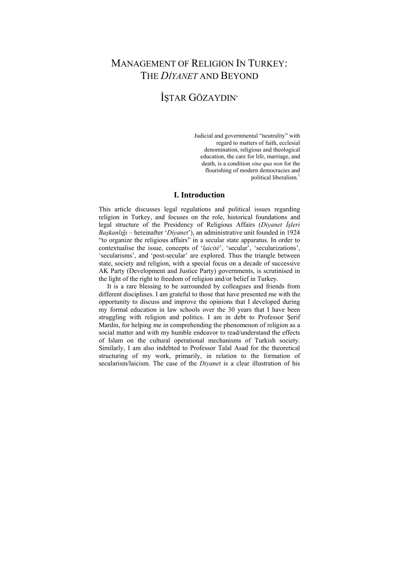# MANAGEMENT OF RELIGION IN TURKEY: THE *DİYANET* AND BEYOND

# İŞTAR GÖZAYDIN<sup>∗</sup>

Judicial and governmental "neutrality" with regard to matters of faith, ecclesial denomination, religious and theological education, the care for life, marriage, and death, is a condition *sine qua non* for the flourishing of modern democracies and political liberalism.1

#### **I. Introduction**

This article discusses legal regulations and political issues regarding religion in Turkey, and focuses on the role, historical foundations and legal structure of the Presidency of Religious Affairs (*Diyanet İşleri Başkanlığı* – hereinafter '*Diyanet*'), an administrative unit founded in 1924 "to organize the religious affairs" in a secular state apparatus. In order to contextualise the issue, concepts of '*laicité*', 'secular', 'secularizations', 'secularisms', and 'post-secular' are explored. Thus the triangle between state, society and religion, with a special focus on a decade of successive AK Party (Development and Justice Party) governments, is scrutinised in the light of the right to freedom of religion and/or belief in Turkey.

 It is a rare blessing to be surrounded by colleagues and friends from different disciplines. I am grateful to those that have presented me with the opportunity to discuss and improve the opinions that I developed during my formal education in law schools over the 30 years that I have been struggling with religion and politics. I am in debt to Professor Şerif Mardin, for helping me in comprehending the phenomenon of religion as a social matter and with my humble endeavor to read/understand the effects of Islam on the cultural operational mechanisms of Turkish society. Similarly, I am also indebted to Professor Talal Asad for the theoretical structuring of my work, primarily, in relation to the formation of secularism/laicism. The case of the *Diyanet* is a clear illustration of his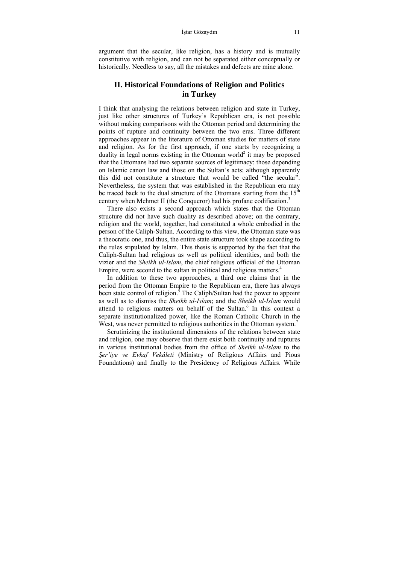argument that the secular, like religion, has a history and is mutually constitutive with religion, and can not be separated either conceptually or historically. Needless to say, all the mistakes and defects are mine alone.

### **II. Historical Foundations of Religion and Politics in Turkey**

I think that analysing the relations between religion and state in Turkey, just like other structures of Turkey's Republican era, is not possible without making comparisons with the Ottoman period and determining the points of rupture and continuity between the two eras. Three different approaches appear in the literature of Ottoman studies for matters of state and religion. As for the first approach, if one starts by recognizing a duality in legal norms existing in the Ottoman world<sup>2</sup> it may be proposed that the Ottomans had two separate sources of legitimacy: those depending on Islamic canon law and those on the Sultan's acts; although apparently this did not constitute a structure that would be called "the secular". Nevertheless, the system that was established in the Republican era may be traced back to the dual structure of the Ottomans starting from the  $15^{th}$ century when Mehmet II (the Conqueror) had his profane codification.<sup>3</sup>

 There also exists a second approach which states that the Ottoman structure did not have such duality as described above; on the contrary, religion and the world, together, had constituted a whole embodied in the person of the Caliph-Sultan. According to this view, the Ottoman state was a theocratic one, and thus, the entire state structure took shape according to the rules stipulated by Islam. This thesis is supported by the fact that the Caliph-Sultan had religious as well as political identities, and both the vizier and the *Sheikh ul-Islam*, the chief religious official of the Ottoman Empire, were second to the sultan in political and religious matters.<sup>4</sup>

 In addition to these two approaches, a third one claims that in the period from the Ottoman Empire to the Republican era, there has always been state control of religion.<sup>5</sup> The Caliph/Sultan had the power to appoint as well as to dismiss the *Sheikh ul-Islam*; and the *Sheikh ul-Islam* would attend to religious matters on behalf of the Sultan.<sup>6</sup> In this context a separate institutionalized power, like the Roman Catholic Church in the West, was never permitted to religious authorities in the Ottoman system.<sup>7</sup>

 Scrutinizing the institutional dimensions of the relations between state and religion, one may observe that there exist both continuity and ruptures in various institutional bodies from the office of *Sheikh ul-Islam* to the *Şer'iye ve Evkaf Vekâleti* (Ministry of Religious Affairs and Pious Foundations) and finally to the Presidency of Religious Affairs. While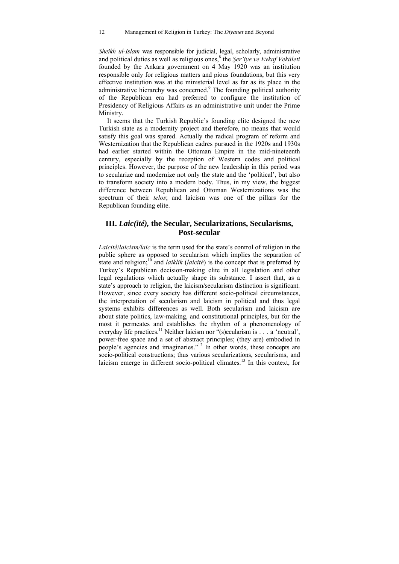*Sheikh ul-Islam* was responsible for judicial, legal, scholarly, administrative and political duties as well as religious ones,8 the *Şer'iye ve Evkaf Vekâleti* founded by the Ankara government on 4 May 1920 was an institution responsible only for religious matters and pious foundations, but this very effective institution was at the ministerial level as far as its place in the administrative hierarchy was concerned.<sup>9</sup> The founding political authority of the Republican era had preferred to configure the institution of Presidency of Religious Affairs as an administrative unit under the Prime Ministry.

 It seems that the Turkish Republic's founding elite designed the new Turkish state as a modernity project and therefore, no means that would satisfy this goal was spared. Actually the radical program of reform and Westernization that the Republican cadres pursued in the 1920s and 1930s had earlier started within the Ottoman Empire in the mid-nineteenth century, especially by the reception of Western codes and political principles. However, the purpose of the new leadership in this period was to secularize and modernize not only the state and the 'political', but also to transform society into a modern body. Thus, in my view, the biggest difference between Republican and Ottoman Westernizations was the spectrum of their *telos*; and laicism was one of the pillars for the Republican founding elite.

### **III.** *Laic(ité),* **the Secular, Secularizations, Secularisms, Post-secular**

*Laicité*/*laicism/laic* is the term used for the state's control of religion in the public sphere as opposed to secularism which implies the separation of state and religion;<sup>10</sup> and *laiklik* (*laicité*) is the concept that is preferred by Turkey's Republican decision-making elite in all legislation and other legal regulations which actually shape its substance. I assert that, as a state's approach to religion, the laicism/secularism distinction is significant. However, since every society has different socio-political circumstances, the interpretation of secularism and laicism in political and thus legal systems exhibits differences as well. Both secularism and laicism are about state politics, law-making, and constitutional principles, but for the most it permeates and establishes the rhythm of a phenomenology of everyday life practices.<sup>11</sup> Neither laicism nor "(s)ecularism is . . . a 'neutral', power-free space and a set of abstract principles; (they are) embodied in people's agencies and imaginaries."12 In other words, these concepts are socio-political constructions; thus various secularizations, secularisms, and laicism emerge in different socio-political climates.13 In this context, for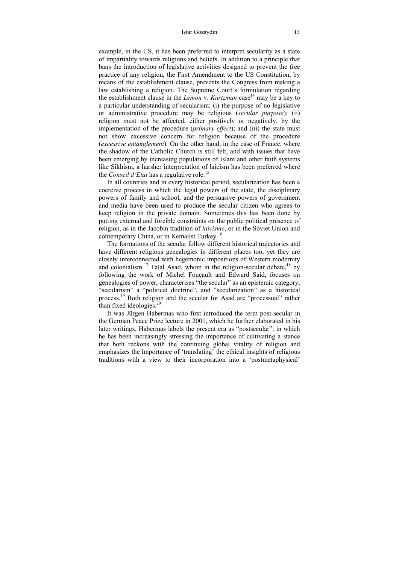#### İştar Gözaydın 13

example, in the US, it has been preferred to interpret secularity as a state of impartiality towards religions and beliefs. In addition to a principle that bans the introduction of legislative activities designed to prevent the free practice of any religion, the First Amendment to the US Constitution, by means of the establishment clause, prevents the Congress from making a law establishing a religion. The Supreme Court's formulation regarding the establishment clause in the *Lemon v. Kurtzman* case<sup>14</sup> may be a key to a particular understanding of secularism: (i) the purpose of no legislative or administrative procedure may be religious (*secular purpose*); (ii) religion must not be affected, either positively or negatively, by the implementation of the procedure (*primary effect*); and (iii) the state must not show excessive concern for religion because of the procedure (*excessive entanglement*). On the other hand, in the case of France, where the shadow of the Catholic Church is still felt, and with issues that have been emerging by increasing populations of Islam and other faith systems like Sikhism, a harsher interpretation of laicism has been preferred where the *Conseil d'Etat* has a regulative role.<sup>15</sup>

 In all countries and in every historical period, secularization has been a coercive process in which the legal powers of the state, the disciplinary powers of family and school, and the persuasive powers of government and media have been used to produce the secular citizen who agrees to keep religion in the private domain. Sometimes this has been done by putting external and forcible constraints on the public political presence of religion, as in the Jacobin tradition of *laicisme*, or in the Soviet Union and contemporary China, or in Kemalist Turkey.16

 The formations of the secular follow different historical trajectories and have different religious genealogies in different places too, yet they are closely interconnected with hegemonic impositions of Western modernity and colonialism.<sup>17</sup> Talal Asad, whom in the religion-secular debate,<sup>18</sup> by following the work of Michel Foucault and Edward Said, focuses on genealogies of power, characterises "the secular" as an epistemic category, "secularism" a "political doctrine", and "secularization" as a historical process.19 Both religion and the secular for Asad are "processual" rather than fixed ideologies.<sup>20</sup>

 It was Jürgen Habermas who first introduced the term post-secular in the German Peace Prize lecture in 2001, which he further elaborated in his later writings. Habermas labels the present era as "postsecular", in which he has been increasingly stressing the importance of cultivating a stance that both reckons with the continuing global vitality of religion and emphasizes the importance of 'translating' the ethical insights of religious traditions with a view to their incorporation into a 'postmetaphysical'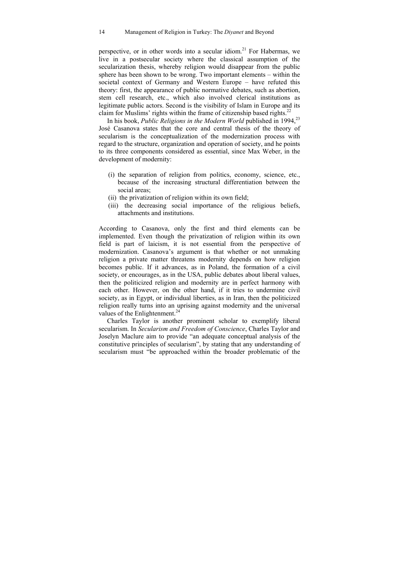perspective, or in other words into a secular idiom.<sup>21</sup> For Habermas, we live in a postsecular society where the classical assumption of the secularization thesis, whereby religion would disappear from the public sphere has been shown to be wrong. Two important elements – within the societal context of Germany and Western Europe – have refuted this theory: first, the appearance of public normative debates, such as abortion, stem cell research, etc., which also involved clerical institutions as legitimate public actors. Second is the visibility of Islam in Europe and its claim for Muslims' rights within the frame of citizenship based rights. $^{22}$ 

In his book, *Public Religions in the Modern World* published in 1994,<sup>23</sup> José Casanova states that the core and central thesis of the theory of secularism is the conceptualization of the modernization process with regard to the structure, organization and operation of society, and he points to its three components considered as essential, since Max Weber, in the development of modernity:

- (i) the separation of religion from politics, economy, science, etc., because of the increasing structural differentiation between the social areas;
- (ii) the privatization of religion within its own field;
- (iii) the decreasing social importance of the religious beliefs, attachments and institutions.

According to Casanova, only the first and third elements can be implemented. Even though the privatization of religion within its own field is part of laicism, it is not essential from the perspective of modernization. Casanova's argument is that whether or not unmaking religion a private matter threatens modernity depends on how religion becomes public. If it advances, as in Poland, the formation of a civil society, or encourages, as in the USA, public debates about liberal values, then the politicized religion and modernity are in perfect harmony with each other. However, on the other hand, if it tries to undermine civil society, as in Egypt, or individual liberties, as in Iran, then the politicized religion really turns into an uprising against modernity and the universal values of the Enlightenment. $24$ 

 Charles Taylor is another prominent scholar to exemplify liberal secularism. In *Secularism and Freedom of Conscience*, Charles Taylor and Joselyn Maclure aim to provide "an adequate conceptual analysis of the constitutive principles of secularism", by stating that any understanding of secularism must "be approached within the broader problematic of the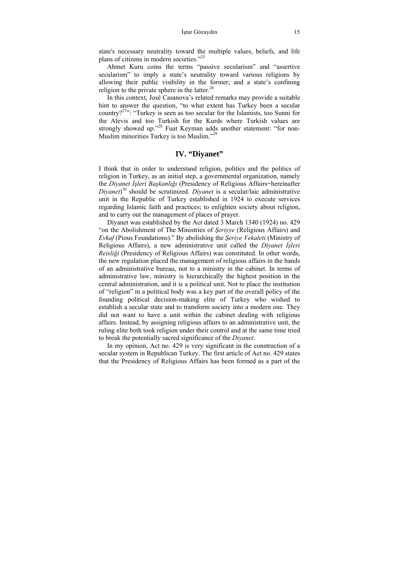state's necessary neutrality toward the multiple values, beliefs, and life plans of citizens in modern societies."25

 Ahmet Kuru coins the terms "passive secularism" and "assertive secularism" to imply a state's neutrality toward various religions by allowing their public visibility in the former; and a state's confining religion to the private sphere in the latter.<sup>26</sup>

 In this context, José Casanova's related remarks may provide a suitable hint to answer the question, "to what extent has Turkey been a secular country?<sup>27</sup>": "Turkey is seen as too secular for the Islamists, too Sunni for the Alevis and too Turkish for the Kurds where Turkish values are strongly showed up."<sup>28</sup> Fuat Keyman adds another statement: "for non-Muslim minorities Turkey is too Muslim."29

### **IV. "Diyanet"**

I think that in order to understand religion, politics and the politics of religion in Turkey, as an initial step, a governmental organization, namely the *Diyanet İşleri Başkanlığı* (Presidency of Religious Affairs ̶ hereinafter *Diyanet*) 30 should be scrutinized. *Diyanet* is a secular/laic administrative unit in the Republic of Turkey established in 1924 to execute services regarding Islamic faith and practices; to enlighten society about religion, and to carry out the management of places of prayer.

 Diyanet was established by the Act dated 3 March 1340 (1924) no. 429 "on the Abolishment of The Ministries of *Şeriyye* (Religious Affairs) and *Evkaf* (Pious Foundations)." By abolishing the *Şeriye Vekaleti* (Ministry of Religious Affairs), a new administrative unit called the *Diyanet İşleri Reisliği* (Presidency of Religious Affairs) was constituted. In other words, the new regulation placed the management of religious affairs in the hands of an administrative bureau, not to a ministry in the cabinet. In terms of administrative law, ministry is hierarchically the highest position in the central administration, and it is a political unit. Not to place the institution of "religion" in a political body was a key part of the overall policy of the founding political decision-making elite of Turkey who wished to establish a secular state and to transform society into a modern one. They did not want to have a unit within the cabinet dealing with religious affairs. Instead, by assigning religious affairs to an administrative unit, the ruling elite both took religion under their control and at the same time tried to break the potentially sacred significance of the *Diyanet*.

 In my opinion, Act no. 429 is very significant in the construction of a secular system in Republican Turkey. The first article of Act no. 429 states that the Presidency of Religious Affairs has been formed as a part of the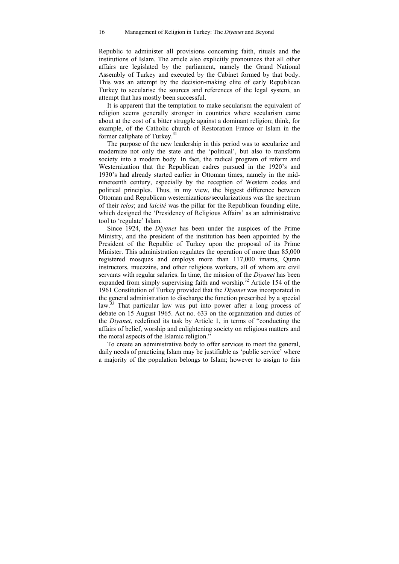Republic to administer all provisions concerning faith, rituals and the institutions of Islam. The article also explicitly pronounces that all other affairs are legislated by the parliament, namely the Grand National Assembly of Turkey and executed by the Cabinet formed by that body. This was an attempt by the decision-making elite of early Republican Turkey to secularise the sources and references of the legal system, an attempt that has mostly been successful.

 It is apparent that the temptation to make secularism the equivalent of religion seems generally stronger in countries where secularism came about at the cost of a bitter struggle against a dominant religion; think, for example, of the Catholic church of Restoration France or Islam in the former caliphate of Turkey.<sup>31</sup>

 The purpose of the new leadership in this period was to secularize and modernize not only the state and the 'political', but also to transform society into a modern body. In fact, the radical program of reform and Westernization that the Republican cadres pursued in the 1920's and 1930's had already started earlier in Ottoman times, namely in the midnineteenth century, especially by the reception of Western codes and political principles. Thus, in my view, the biggest difference between Ottoman and Republican westernizations/secularizations was the spectrum of their *telos*; and *laicité* was the pillar for the Republican founding elite, which designed the 'Presidency of Religious Affairs' as an administrative tool to 'regulate' Islam.

 Since 1924, the *Diyanet* has been under the auspices of the Prime Ministry, and the president of the institution has been appointed by the President of the Republic of Turkey upon the proposal of its Prime Minister. This administration regulates the operation of more than 85,000 registered mosques and employs more than 117,000 imams, Quran instructors, muezzins, and other religious workers, all of whom are civil servants with regular salaries. In time, the mission of the *Diyanet* has been expanded from simply supervising faith and worship.<sup>32</sup> Article 154 of the 1961 Constitution of Turkey provided that the *Diyanet* was incorporated in the general administration to discharge the function prescribed by a special law.<sup>33</sup> That particular law was put into power after a long process of debate on 15 August 1965. Act no. 633 on the organization and duties of the *Diyanet*, redefined its task by Article 1, in terms of "conducting the affairs of belief, worship and enlightening society on religious matters and the moral aspects of the Islamic religion."

 To create an administrative body to offer services to meet the general, daily needs of practicing Islam may be justifiable as 'public service' where a majority of the population belongs to Islam; however to assign to this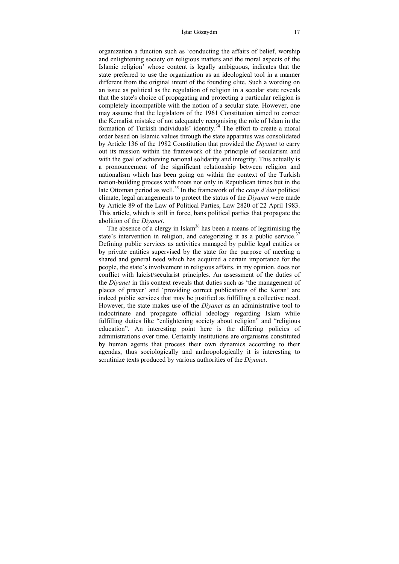#### İştar Gözaydın 17

organization a function such as 'conducting the affairs of belief, worship and enlightening society on religious matters and the moral aspects of the Islamic religion' whose content is legally ambiguous, indicates that the state preferred to use the organization as an ideological tool in a manner different from the original intent of the founding elite. Such a wording on an issue as political as the regulation of religion in a secular state reveals that the state's choice of propagating and protecting a particular religion is completely incompatible with the notion of a secular state. However, one may assume that the legislators of the 1961 Constitution aimed to correct the Kemalist mistake of not adequately recognising the role of Islam in the formation of Turkish individuals' identity.34 The effort to create a moral order based on Islamic values through the state apparatus was consolidated by Article 136 of the 1982 Constitution that provided the *Diyanet* to carry out its mission within the framework of the principle of secularism and with the goal of achieving national solidarity and integrity. This actually is a pronouncement of the significant relationship between religion and nationalism which has been going on within the context of the Turkish nation-building process with roots not only in Republican times but in the late Ottoman period as well.<sup>35</sup> In the framework of the *coup d'état* political climate, legal arrangements to protect the status of the *Diyanet* were made by Article 89 of the Law of Political Parties, Law 2820 of 22 April 1983. This article, which is still in force, bans political parties that propagate the abolition of the *Diyanet*.

The absence of a clergy in Islam<sup>36</sup> has been a means of legitimising the state's intervention in religion, and categorizing it as a public service.<sup>37</sup> Defining public services as activities managed by public legal entities or by private entities supervised by the state for the purpose of meeting a shared and general need which has acquired a certain importance for the people, the state's involvement in religious affairs, in my opinion, does not conflict with laicist/secularist principles. An assessment of the duties of the *Diyanet* in this context reveals that duties such as 'the management of places of prayer' and 'providing correct publications of the Koran' are indeed public services that may be justified as fulfilling a collective need. However, the state makes use of the *Diyanet* as an administrative tool to indoctrinate and propagate official ideology regarding Islam while fulfilling duties like "enlightening society about religion" and "religious education". An interesting point here is the differing policies of administrations over time. Certainly institutions are organisms constituted by human agents that process their own dynamics according to their agendas, thus sociologically and anthropologically it is interesting to scrutinize texts produced by various authorities of the *Diyanet*.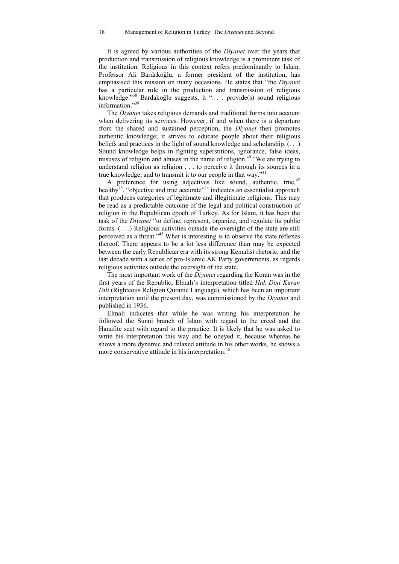It is agreed by various authorities of the *Diyanet* over the years that production and transmission of religious knowledge is a prominent task of the institution. Religious in this context refers predominantly to Islam. Professor Ali Bardakoğlu, a former president of the institution, has emphasised this mission on many occasions. He states that "the *Diyanet* has a particular role in the production and transmission of religious knowledge."38 Bardakoğlu suggests, it ". . . provide(s) sound religious information."39

 The *Diyanet* takes religious demands and traditional forms into account when delivering its services. However, if and when there is a departure from the shared and sustained perception, the *Diyanet* then promotes authentic knowledge; it strives to educate people about their religious beliefs and practices in the light of sound knowledge and scholarship. (. . .) Sound knowledge helps in fighting superstitions, ignorance, false ideas, misuses of religion and abuses in the name of religion.<sup>40</sup> "We are trying to understand religion as religion . . . to perceive it through its sources in a true knowledge, and to transmit it to our people in that way."41

A preference for using adjectives like sound, authentic, true,  $42$ healthy $^{43}$ , "objective and true accurate"<sup>44</sup> indicates an essentialist approach that produces categories of legitimate and illegitimate religions. This may be read as a predictable outcome of the legal and political construction of religion in the Republican epoch of Turkey. As for Islam, it has been the task of the *Diyanet* "to define, represent, organize, and regulate its public forms. (. . .) Religious activities outside the oversight of the state are still perceived as a threat."45 What is interesting is to observe the state reflexes thereof. There appears to be a lot less difference than may be expected between the early Republican era with its strong Kemalist rhetoric, and the last decade with a series of pro-Islamic AK Party governments, as regards religious activities outside the oversight of the state.

 The most important work of the *Diyanet* regarding the Koran was in the first years of the Republic; Elmalı's interpretation titled *Hak Dini Kuran Dili* (Righteous Religion Quranic Language), which has been an important interpretation until the present day, was commissioned by the *Diyanet* and published in 1936.

 Elmalı indicates that while he was writing his interpretation he followed the Sunni branch of Islam with regard to the creed and the Hanafite sect with regard to the practice. It is likely that he was asked to write his interpretation this way and he obeyed it, because whereas he shows a more dynamic and relaxed attitude in his other works, he shows a more conservative attitude in his interpretation.<sup>46</sup>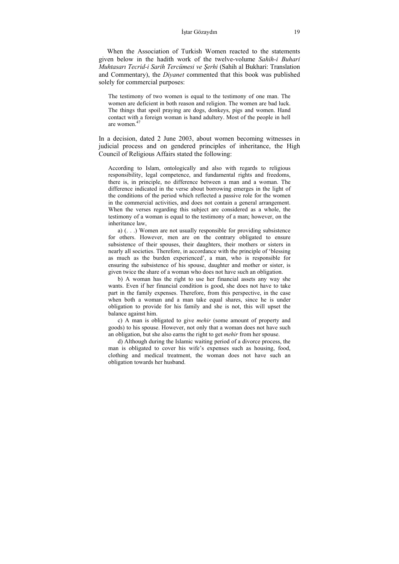#### İştar Gözaydın 19

 When the Association of Turkish Women reacted to the statements given below in the hadith work of the twelve-volume *Sahih-i Buhari Muhtasarı Tecrid-i Sarih Tercümesi ve Şerhi* (Sahih al Bukhari: Translation and Commentary), the *Diyanet* commented that this book was published solely for commercial purposes:

The testimony of two women is equal to the testimony of one man. The women are deficient in both reason and religion. The women are bad luck. The things that spoil praying are dogs, donkeys, pigs and women. Hand contact with a foreign woman is hand adultery. Most of the people in hell are women<sup>47</sup>

In a decision, dated 2 June 2003, about women becoming witnesses in judicial process and on gendered principles of inheritance, the High Council of Religious Affairs stated the following:

According to Islam, ontologically and also with regards to religious responsibility, legal competence, and fundamental rights and freedoms, there is, in principle, no difference between a man and a woman. The difference indicated in the verse about borrowing emerges in the light of the conditions of the period which reflected a passive role for the women in the commercial activities, and does not contain a general arrangement. When the verses regarding this subject are considered as a whole, the testimony of a woman is equal to the testimony of a man; however, on the inheritance law,

a) (. . .) Women are not usually responsible for providing subsistence for others. However, men are on the contrary obligated to ensure subsistence of their spouses, their daughters, their mothers or sisters in nearly all societies. Therefore, in accordance with the principle of 'blessing as much as the burden experienced', a man, who is responsible for ensuring the subsistence of his spouse, daughter and mother or sister, is given twice the share of a woman who does not have such an obligation.

b) A woman has the right to use her financial assets any way she wants. Even if her financial condition is good, she does not have to take part in the family expenses. Therefore, from this perspective, in the case when both a woman and a man take equal shares, since he is under obligation to provide for his family and she is not, this will upset the balance against him.

c) A man is obligated to give *mehir* (some amount of property and goods) to his spouse. However, not only that a woman does not have such an obligation, but she also earns the right to get *mehir* from her spouse.

d) Although during the Islamic waiting period of a divorce process, the man is obligated to cover his wife's expenses such as housing, food, clothing and medical treatment, the woman does not have such an obligation towards her husband.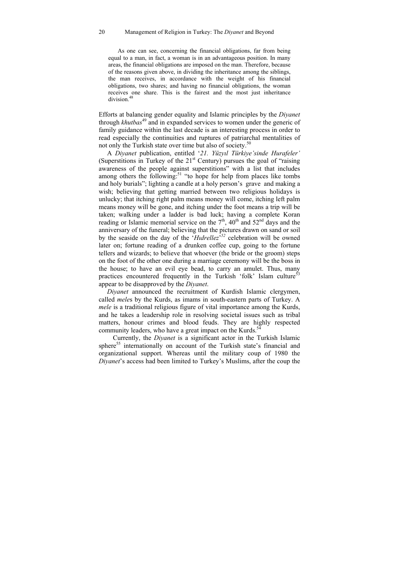#### 20 Management of Religion in Turkey: The *Diyanet* and Beyond

As one can see, concerning the financial obligations, far from being equal to a man, in fact, a woman is in an advantageous position. In many areas, the financial obligations are imposed on the man. Therefore, because of the reasons given above, in dividing the inheritance among the siblings, the man receives, in accordance with the weight of his financial obligations, two shares; and having no financial obligations, the woman receives one share. This is the fairest and the most just inheritance division<sup>48</sup>

Efforts at balancing gender equality and Islamic principles by the *Diyanet* through *khutbas*<sup>49</sup> and in expanded services to women under the generic of family guidance within the last decade is an interesting process in order to read especially the continuities and ruptures of patriarchal mentalities of not only the Turkish state over time but also of society.<sup>50</sup>

 A *Diyanet* publication, entitled '*21. Yüzyıl Türkiye'sinde Hurafeler'* (Superstitions in Turkey of the  $21<sup>st</sup>$  Century) pursues the goal of "raising awareness of the people against superstitions" with a list that includes among others the following:<sup>51</sup> "to hope for help from places like tombs and holy burials"; lighting a candle at a holy person's grave and making a wish; believing that getting married between two religious holidays is unlucky; that itching right palm means money will come, itching left palm means money will be gone, and itching under the foot means a trip will be taken; walking under a ladder is bad luck; having a complete Koran reading or Islamic memorial service on the  $7<sup>th</sup>$ , 40<sup>th</sup> and 52<sup>nd</sup> days and the anniversary of the funeral; believing that the pictures drawn on sand or soil by the seaside on the day of the '*Hıdrellez*' *<sup>52</sup>* celebration will be owned later on; fortune reading of a drunken coffee cup, going to the fortune tellers and wizards; to believe that whoever (the bride or the groom) steps on the foot of the other one during a marriage ceremony will be the boss in the house; to have an evil eye bead, to carry an amulet. Thus, many practices encountered frequently in the Turkish 'folk' Islam culture<sup>53</sup> appear to be disapproved by the *Diyanet*.

 *Diyanet* announced the recruitment of Kurdish Islamic clergymen, called *mele*s by the Kurds, as imams in south-eastern parts of Turkey. A *mele* is a traditional religious figure of vital importance among the Kurds, and he takes a leadership role in resolving societal issues such as tribal matters, honour crimes and blood feuds. They are highly respected community leaders, who have a great impact on the Kurds.<sup>54</sup>

Currently, the *Diyanet* is a significant actor in the Turkish Islamic sphere<sup>55</sup> internationally on account of the Turkish state's financial and organizational support. Whereas until the military coup of 1980 the *Diyanet*'s access had been limited to Turkey's Muslims, after the coup the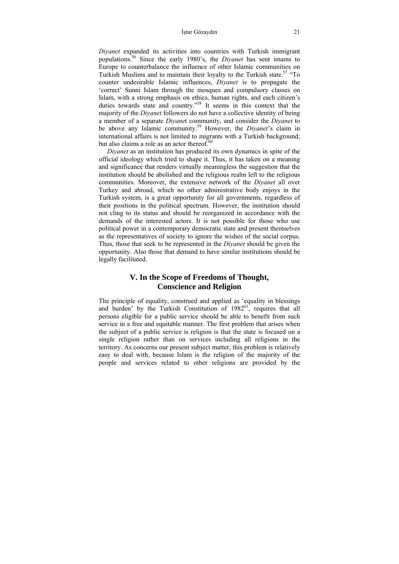#### İştar Gözaydın 21

*Diyanet* expanded its activities into countries with Turkish immigrant populations.56 Since the early 1980's, the *Diyanet* has sent imams to Europe to counterbalance the influence of other Islamic communities on Turkish Muslims and to maintain their loyalty to the Turkish state.<sup>57</sup> "To counter undesirable Islamic influences, *Diyanet* is to propagate the 'correct' Sunni Islam through the mosques and compulsory classes on Islam, with a strong emphasis on ethics, human rights, and each citizen's duties towards state and country."<sup>58</sup> It seems in this context that the majority of the *Diyanet* followers do not have a collective identity of being a member of a separate *Diyane*t community, and consider the *Diyanet* to be above any Islamic community.59 However, the *Diyanet*'s claim in international affairs is not limited to migrants with a Turkish background; but also claims a role as an actor thereof. $60$ 

 *Diyanet* as an institution has produced its own dynamics in spite of the official ideology which tried to shape it. Thus, it has taken on a meaning and significance that renders virtually meaningless the suggestion that the institution should be abolished and the religious realm left to the religious communities. Moreover, the extensive network of the *Diyanet* all over Turkey and abroad, which no other administrative body enjoys in the Turkish system, is a great opportunity for all governments, regardless of their positions in the political spectrum. However, the institution should not cling to its status and should be reorganized in accordance with the demands of the interested actors. It is not possible for those who use political power in a contemporary democratic state and present themselves as the representatives of society to ignore the wishes of the social corpus. Thus, those that seek to be represented in the *Diyanet* should be given the opportunity. Also those that demand to have similar institutions should be legally facilitated.

### **V. In the Scope of Freedoms of Thought, Conscience and Religion**

The principle of equality, construed and applied as 'equality in blessings and burden' by the Turkish Constitution of  $1982^{61}$ , requires that all persons eligible for a public service should be able to benefit from such service in a free and equitable manner. The first problem that arises when the subject of a public service is religion is that the state is focused on a single religion rather than on services including all religions in the territory. As concerns our present subject matter, this problem is relatively easy to deal with, because Islam is the religion of the majority of the people and services related to other religions are provided by the